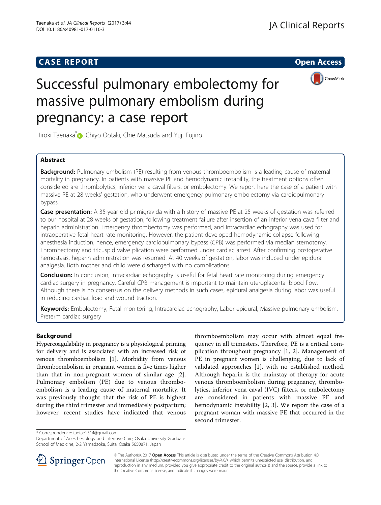# **CASE REPORT CASE REPORT CASE REPORT**



# Successful pulmonary embolectomy for massive pulmonary embolism during pregnancy: a case report

Hiroki Taenaka<sup>[\\*](http://orcid.org/0000-0002-8643-8702)</sup> , Chiyo Ootaki, Chie Matsuda and Yuji Fujino

# Abstract

**Background:** Pulmonary embolism (PE) resulting from venous thromboembolism is a leading cause of maternal mortality in pregnancy. In patients with massive PE and hemodynamic instability, the treatment options often considered are thrombolytics, inferior vena caval filters, or embolectomy. We report here the case of a patient with massive PE at 28 weeks' gestation, who underwent emergency pulmonary embolectomy via cardiopulmonary bypass.

Case presentation: A 35-year old primigravida with a history of massive PE at 25 weeks of gestation was referred to our hospital at 28 weeks of gestation, following treatment failure after insertion of an inferior vena cava filter and heparin administration. Emergency thrombectomy was performed, and intracardiac echography was used for intraoperative fetal heart rate monitoring. However, the patient developed hemodynamic collapse following anesthesia induction; hence, emergency cardiopulmonary bypass (CPB) was performed via median sternotomy. Thrombectomy and tricuspid valve plication were performed under cardiac arrest. After confirming postoperative hemostasis, heparin administration was resumed. At 40 weeks of gestation, labor was induced under epidural analgesia. Both mother and child were discharged with no complications.

Conclusion: In conclusion, intracardiac echography is useful for fetal heart rate monitoring during emergency cardiac surgery in pregnancy. Careful CPB management is important to maintain uteroplacental blood flow. Although there is no consensus on the delivery methods in such cases, epidural analgesia during labor was useful in reducing cardiac load and wound traction.

Keywords: Embolectomy, Fetal monitoring, Intracardiac echography, Labor epidural, Massive pulmonary embolism, Preterm cardiac surgery

# Background

Hypercoagulability in pregnancy is a physiological priming for delivery and is associated with an increased risk of venous thromboembolism [\[1](#page-3-0)]. Morbidity from venous thromboembolism in pregnant women is five times higher than that in non-pregnant women of similar age [\[2](#page-3-0)]. Pulmonary embolism (PE) due to venous thromboembolism is a leading cause of maternal mortality. It was previously thought that the risk of PE is highest during the third trimester and immediately postpartum; however, recent studies have indicated that venous

thromboembolism may occur with almost equal frequency in all trimesters. Therefore, PE is a critical complication throughout pregnancy [\[1](#page-3-0), [2](#page-3-0)]. Management of PE in pregnant women is challenging, due to lack of validated approaches [\[1](#page-3-0)], with no established method. Although heparin is the mainstay of therapy for acute venous thromboembolism during pregnancy, thrombolytics, inferior vena caval (IVC) filters, or embolectomy are considered in patients with massive PE and hemodynamic instability [[2, 3\]](#page-3-0). We report the case of a pregnant woman with massive PE that occurred in the second trimester.

\* Correspondence: [taetae1314@gmail.com](mailto:taetae1314@gmail.com)

Department of Anesthesiology and Intensive Care, Osaka University Graduate School of Medicine, 2-2 Yamadaoka, Suita, Osaka 5650871, Japan



© The Author(s). 2017 **Open Access** This article is distributed under the terms of the Creative Commons Attribution 4.0 International License ([http://creativecommons.org/licenses/by/4.0/\)](http://creativecommons.org/licenses/by/4.0/), which permits unrestricted use, distribution, and reproduction in any medium, provided you give appropriate credit to the original author(s) and the source, provide a link to the Creative Commons license, and indicate if changes were made.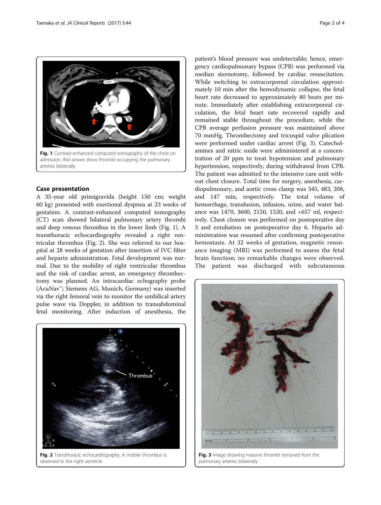

#### Case presentation

A 35-year old primigravida (height 150 cm; weight 60 kg) presented with exertional dyspnea at 23 weeks of gestation. A contrast-enhanced computed tomography (CT) scan showed bilateral pulmonary artery thrombi and deep venous thrombus in the lower limb (Fig. 1). A transthoracic echocardiography revealed a right ventricular thrombus (Fig. 2). She was referred to our hospital at 28 weeks of gestation after insertion of IVC filter and heparin administration. Fetal development was normal. Due to the mobility of right ventricular thrombus and the risk of cardiac arrest, an emergency thrombectomy was planned. An intracardiac echography probe (AcuNav™; Siemens AG, Munich, Germany) was inserted via the right femoral vein to monitor the umbilical artery pulse wave via Doppler, in addition to transabdominal fetal monitoring. After induction of anesthesia, the



Fig. 2 Transthoracic echocardiography. A mobile thrombus is observed in the right ventricle

patient's blood pressure was undetectable; hence, emergency cardiopulmonary bypass (CPB) was performed via median sternotomy, followed by cardiac resuscitation. While switching to extracorporeal circulation approximately 10 min after the hemodynamic collapse, the fetal heart rate decreased to approximately 80 beats per minute. Immediately after establishing extracorporeal circulation, the fetal heart rate recovered rapidly and remained stable throughout the procedure, while the CPB average perfusion pressure was maintained above 70 mmHg. Thrombectomy and tricuspid valve plication were performed under cardiac arrest (Fig. 3). Catecholamines and nitric oxide were administered at a concentration of 20 ppm to treat hypotension and pulmonary hypertension, respectively, during withdrawal from CPB. The patient was admitted to the intensive care unit without chest closure. Total time for surgery, anesthesia, cardiopulmonary, and aortic cross clamp was 345, 483, 208, and 147 min, respectively. The total volume of hemorrhage, transfusion, infusion, urine, and water balance was 1470, 3600, 2150, 1520, and +657 ml, respectively. Chest closure was performed on postoperative day 3 and extubation on postoperative day 6. Heparin administration was resumed after confirming postoperative hemostasis. At 32 weeks of gestation, magnetic resonance imaging (MRI) was performed to assess the fetal brain function; no remarkable changes were observed. The patient was discharged with subcutaneous



Fig. 3 Image showing massive thrombi removed from the pulmonary arteries bilaterally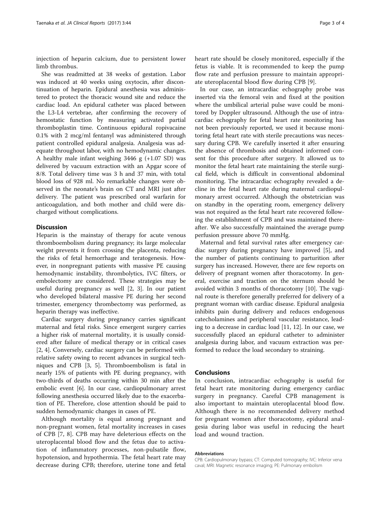injection of heparin calcium, due to persistent lower limb thrombus.

She was readmitted at 38 weeks of gestation. Labor was induced at 40 weeks using oxytocin, after discontinuation of heparin. Epidural anesthesia was administered to protect the thoracic wound site and reduce the cardiac load. An epidural catheter was placed between the L3-L4 vertebrae, after confirming the recovery of hemostatic function by measuring activated partial thromboplastin time. Continuous epidural ropivacaine 0.1% with 2 mcg/ml fentanyl was administered through patient controlled epidural analgesia. Analgesia was adequate throughout labor, with no hemodynamic changes. A healthy male infant weighing 3446 g (+1.07 SD) was delivered by vacuum extraction with an Apgar score of 8/8. Total delivery time was 3 h and 37 min, with total blood loss of 928 ml. No remarkable changes were observed in the neonate's brain on CT and MRI just after delivery. The patient was prescribed oral warfarin for anticoagulation, and both mother and child were discharged without complications.

### **Discussion**

Heparin is the mainstay of therapy for acute venous thromboembolism during pregnancy; its large molecular weight prevents it from crossing the placenta, reducing the risks of fetal hemorrhage and teratogenesis. However, in nonpregnant patients with massive PE causing hemodynamic instability, thrombolytics, IVC filters, or embolectomy are considered. These strategies may be useful during pregnancy as well [\[2](#page-3-0), [3](#page-3-0)]. In our patient who developed bilateral massive PE during her second trimester, emergency thrombectomy was performed, as heparin therapy was ineffective.

Cardiac surgery during pregnancy carries significant maternal and fetal risks. Since emergent surgery carries a higher risk of maternal mortality, it is usually considered after failure of medical therapy or in critical cases [[2, 4\]](#page-3-0). Conversely, cardiac surgery can be performed with relative safety owing to recent advances in surgical techniques and CPB [[3, 5](#page-3-0)]. Thromboembolism is fatal in nearly 15% of patients with PE during pregnancy, with two-thirds of deaths occurring within 30 min after the embolic event [\[6](#page-3-0)]. In our case, cardiopulmonary arrest following anesthesia occurred likely due to the exacerbation of PE. Therefore, close attention should be paid to sudden hemodynamic changes in cases of PE.

Although mortality is equal among pregnant and non-pregnant women, fetal mortality increases in cases of CPB [[7, 8](#page-3-0)]. CPB may have deleterious effects on the uteroplacental blood flow and the fetus due to activation of inflammatory processes, non-pulsatile flow, hypotension, and hypothermia. The fetal heart rate may decrease during CPB; therefore, uterine tone and fetal heart rate should be closely monitored, especially if the fetus is viable. It is recommended to keep the pump flow rate and perfusion pressure to maintain appropriate uteroplacental blood flow during CPB [\[9](#page-3-0)].

In our case, an intracardiac echography probe was inserted via the femoral vein and fixed at the position where the umbilical arterial pulse wave could be monitored by Doppler ultrasound. Although the use of intracardiac echography for fetal heart rate monitoring has not been previously reported, we used it because monitoring fetal heart rate with sterile precautions was necessary during CPB. We carefully inserted it after ensuring the absence of thrombosis and obtained informed consent for this procedure after surgery. It allowed us to monitor the fetal heart rate maintaining the sterile surgical field, which is difficult in conventional abdominal monitoring. The intracardiac echography revealed a decline in the fetal heart rate during maternal cardiopulmonary arrest occurred. Although the obstetrician was on standby in the operating room, emergency delivery was not required as the fetal heart rate recovered following the establishment of CPB and was maintained thereafter. We also successfully maintained the average pump perfusion pressure above 70 mmHg.

Maternal and fetal survival rates after emergency cardiac surgery during pregnancy have improved [[5\]](#page-3-0), and the number of patients continuing to parturition after surgery has increased. However, there are few reports on delivery of pregnant women after thoracotomy. In general, exercise and traction on the sternum should be avoided within 3 months of thoracotomy [[10\]](#page-3-0). The vaginal route is therefore generally preferred for delivery of a pregnant woman with cardiac disease. Epidural analgesia inhibits pain during delivery and reduces endogenous catecholamines and peripheral vascular resistance, leading to a decrease in cardiac load [\[11](#page-3-0), [12](#page-3-0)]. In our case, we successfully placed an epidural catheter to administer analgesia during labor, and vacuum extraction was performed to reduce the load secondary to straining.

### Conclusions

In conclusion, intracardiac echography is useful for fetal heart rate monitoring during emergency cardiac surgery in pregnancy. Careful CPB management is also important to maintain uteroplacental blood flow. Although there is no recommended delivery method for pregnant women after thoracotomy, epidural analgesia during labor was useful in reducing the heart load and wound traction.

#### Abbreviations

CPB: Cardiopulmonary bypass; CT: Computed tomography; IVC: Inferior vena caval; MRI: Magnetic resonance imaging; PE: Pulmonary embolism